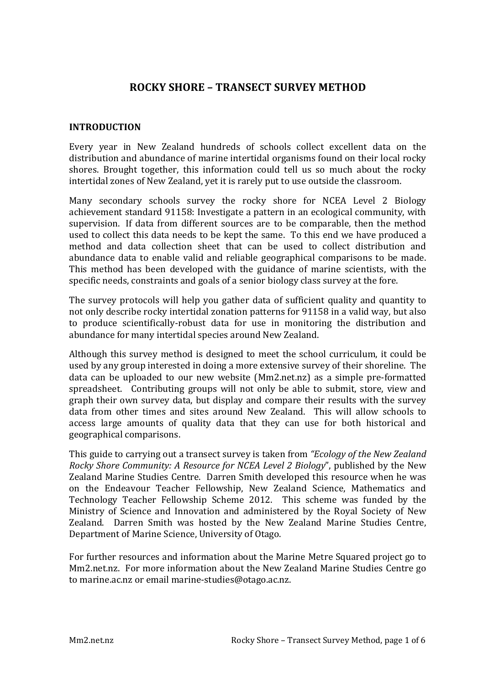# **ROCKY SHORE - TRANSECT SURVEY METHOD**

#### **INTRODUCTION**

Every year in New Zealand hundreds of schools collect excellent data on the distribution and abundance of marine intertidal organisms found on their local rocky shores. Brought together, this information could tell us so much about the rocky intertidal zones of New Zealand, yet it is rarely put to use outside the classroom.

Many secondary schools survey the rocky shore for NCEA Level 2 Biology achievement standard 91158: Investigate a pattern in an ecological community, with supervision. If data from different sources are to be comparable, then the method used to collect this data needs to be kept the same. To this end we have produced a method and data collection sheet that can be used to collect distribution and abundance data to enable valid and reliable geographical comparisons to be made. This method has been developed with the guidance of marine scientists, with the specific needs, constraints and goals of a senior biology class survey at the fore.

The survey protocols will help you gather data of sufficient quality and quantity to not only describe rocky intertidal zonation patterns for 91158 in a valid way, but also to produce scientifically-robust data for use in monitoring the distribution and abundance for many intertidal species around New Zealand.

Although this survey method is designed to meet the school curriculum, it could be used by any group interested in doing a more extensive survey of their shoreline. The data can be uploaded to our new website (Mm2.net.nz) as a simple pre-formatted spreadsheet. Contributing groups will not only be able to submit, store, view and graph their own survey data, but display and compare their results with the survey data from other times and sites around New Zealand. This will allow schools to access large amounts of quality data that they can use for both historical and geographical comparisons.

This guide to carrying out a transect survey is taken from *"Ecology of the New Zealand Rocky Shore Community: A Resource for NCEA Level 2 Biology"*, published by the New Zealand Marine Studies Centre. Darren Smith developed this resource when he was on the Endeavour Teacher Fellowship, New Zealand Science, Mathematics and Technology Teacher Fellowship Scheme 2012. This scheme was funded by the Ministry of Science and Innovation and administered by the Royal Society of New Zealand. Darren Smith was hosted by the New Zealand Marine Studies Centre, Department of Marine Science, University of Otago.

For further resources and information about the Marine Metre Squared project go to Mm2.net.nz. For more information about the New Zealand Marine Studies Centre go to marine.ac.nz or email marine-studies@otago.ac.nz.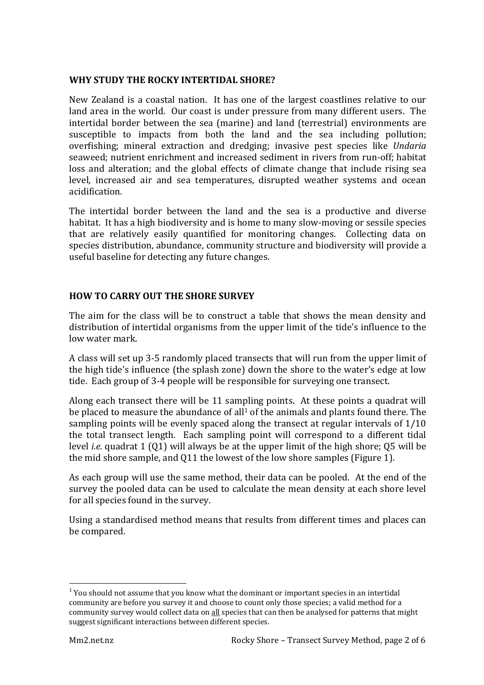## **WHY STUDY THE ROCKY INTERTIDAL SHORE?**

New Zealand is a coastal nation. It has one of the largest coastlines relative to our land area in the world. Our coast is under pressure from many different users. The intertidal border between the sea (marine) and land (terrestrial) environments are susceptible to impacts from both the land and the sea including pollution; overfishing; mineral extraction and dredging; invasive pest species like *Undaria* seaweed; nutrient enrichment and increased sediment in rivers from run-off; habitat loss and alteration; and the global effects of climate change that include rising sea level, increased air and sea temperatures, disrupted weather systems and ocean acidification.

The intertidal border between the land and the sea is a productive and diverse habitat. It has a high biodiversity and is home to many slow-moving or sessile species that are relatively easily quantified for monitoring changes. Collecting data on species distribution, abundance, community structure and biodiversity will provide a useful baseline for detecting any future changes.

## **HOW TO CARRY OUT THE SHORE SURVEY**

The aim for the class will be to construct a table that shows the mean density and distribution of intertidal organisms from the upper limit of the tide's influence to the low water mark.

A class will set up 3-5 randomly placed transects that will run from the upper limit of the high tide's influence (the splash zone) down the shore to the water's edge at low tide. Each group of 3-4 people will be responsible for surveying one transect.

Along each transect there will be 11 sampling points. At these points a quadrat will be placed to measure the abundance of all<sup>1</sup> of the animals and plants found there. The sampling points will be evenly spaced along the transect at regular intervals of  $1/10$ the total transect length. Each sampling point will correspond to a different tidal level *i.e.* quadrat 1 (Q1) will always be at the upper limit of the high shore; Q5 will be the mid shore sample, and Q11 the lowest of the low shore samples (Figure 1).

As each group will use the same method, their data can be pooled. At the end of the survey the pooled data can be used to calculate the mean density at each shore level for all species found in the survey.

Using a standardised method means that results from different times and places can be compared.

 $<sup>1</sup>$  You should not assume that you know what the dominant or important species in an intertidal</sup> community are before you survey it and choose to count only those species; a valid method for a community survey would collect data on all species that can then be analysed for patterns that might suggest significant interactions between different species.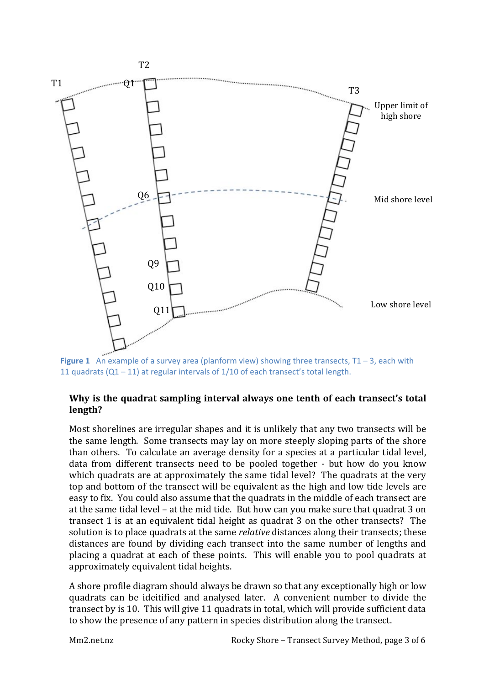

**Figure 1** An example of a survey area (planform view) showing three transects,  $T1 - 3$ , each with 11 quadrats  $(Q1 - 11)$  at regular intervals of  $1/10$  of each transect's total length.

#### Why is the quadrat sampling interval always one tenth of each transect's total **length?**

Most shorelines are irregular shapes and it is unlikely that any two transects will be the same length. Some transects may lay on more steeply sloping parts of the shore than others. To calculate an average density for a species at a particular tidal level, data from different transects need to be pooled together - but how do you know which quadrats are at approximately the same tidal level? The quadrats at the very top and bottom of the transect will be equivalent as the high and low tide levels are easy to fix. You could also assume that the quadrats in the middle of each transect are at the same tidal level – at the mid tide. But how can you make sure that quadrat 3 on transect 1 is at an equivalent tidal height as quadrat 3 on the other transects? The solution is to place quadrats at the same *relative* distances along their transects; these distances are found by dividing each transect into the same number of lengths and placing a quadrat at each of these points. This will enable you to pool quadrats at approximately equivalent tidal heights.

A shore profile diagram should always be drawn so that any exceptionally high or low quadrats can be ideitified and analysed later. A convenient number to divide the transect by is 10. This will give 11 quadrats in total, which will provide sufficient data to show the presence of any pattern in species distribution along the transect.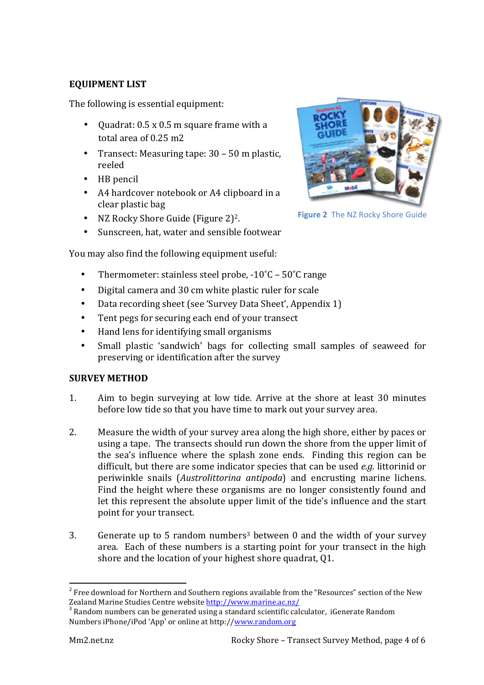# **EQUIPMENT LIST**

The following is essential equipment:

- Ouadrat: 0.5 x 0.5 m square frame with a total area of 0.25 m2
- Transect: Measuring tape:  $30 50$  m plastic, reeled
- HB pencil
- A4 hardcover notebook or A4 clipboard in a clear plastic bag
- NZ Rocky Shore Guide (Figure 2)<sup>2</sup>.
- Sunscreen, hat, water and sensible footwear



**Figure 2** The NZ Rocky Shore Guide

You may also find the following equipment useful:

- Thermometer: stainless steel probe,  $-10^{\circ}C 50^{\circ}C$  range
- Digital camera and 30 cm white plastic ruler for scale
- Data recording sheet (see 'Survey Data Sheet', Appendix 1)
- Tent pegs for securing each end of your transect
- Hand lens for identifying small organisms
- Small plastic 'sandwich' bags for collecting small samples of seaweed for preserving or identification after the survey

## **SURVEY METHOD**

- 1. Aim to begin surveying at low tide. Arrive at the shore at least 30 minutes before low tide so that you have time to mark out your survey area.
- 2. Measure the width of your survey area along the high shore, either by paces or using a tape. The transects should run down the shore from the upper limit of the sea's influence where the splash zone ends. Finding this region can be difficult, but there are some indicator species that can be used *e.g.* littorinid or periwinkle snails (*Austrolittorina antipoda*) and encrusting marine lichens. Find the height where these organisms are no longer consistently found and let this represent the absolute upper limit of the tide's influence and the start point for your transect.
- 3. Generate up to 5 random numbers<sup>3</sup> between 0 and the width of your survey area. Each of these numbers is a starting point for your transect in the high shore and the location of your highest shore quadrat, Q1.

 $2^2$  Free download for Northern and Southern regions available from the "Resources" section of the New Zealand Marine Studies Centre website <u>http://www.marine.ac.nz/</u><br><sup>3</sup> Random numbers can be generated using a standard scientific calculator, iGenerate Random

Numbers iPhone/iPod 'App' or online at http://www.random.org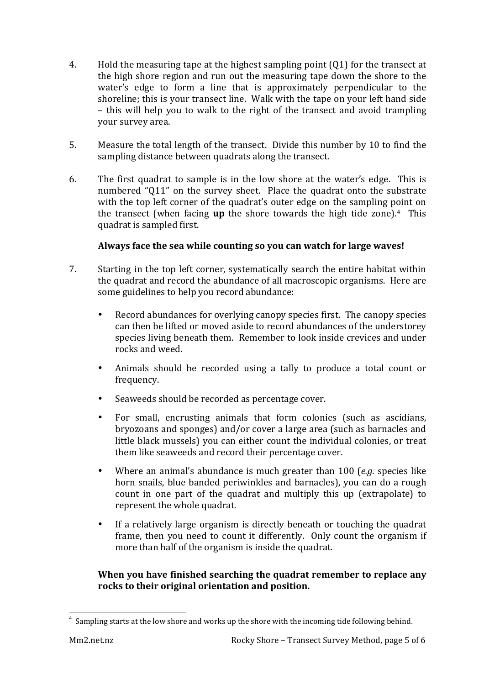- 4. Hold the measuring tape at the highest sampling point  $(Q1)$  for the transect at the high shore region and run out the measuring tape down the shore to the water's edge to form a line that is approximately perpendicular to the shoreline; this is your transect line. Walk with the tape on your left hand side – this will help you to walk to the right of the transect and avoid trampling vour survey area.
- 5. Measure the total length of the transect. Divide this number by 10 to find the sampling distance between quadrats along the transect.
- 6. The first quadrat to sample is in the low shore at the water's edge. This is numbered "Q11" on the survey sheet. Place the quadrat onto the substrate with the top left corner of the quadrat's outer edge on the sampling point on the transect (when facing  $up$  the shore towards the high tide zone).<sup>4</sup> This quadrat is sampled first.

## Always face the sea while counting so you can watch for large waves!

- 7. Starting in the top left corner, systematically search the entire habitat within the quadrat and record the abundance of all macroscopic organisms. Here are some guidelines to help you record abundance:
	- Record abundances for overlying canopy species first. The canopy species can then be lifted or moved aside to record abundances of the understorey species living beneath them. Remember to look inside crevices and under rocks and weed.
	- Animals should be recorded using a tally to produce a total count or frequency.
	- Seaweeds should be recorded as percentage cover.
	- For small, encrusting animals that form colonies (such as ascidians, bryozoans and sponges) and/or cover a large area (such as barnacles and little black mussels) you can either count the individual colonies, or treat them like seaweeds and record their percentage cover.
	- Where an animal's abundance is much greater than 100 (*e.g.* species like horn snails, blue banded periwinkles and barnacles), you can do a rough count in one part of the quadrat and multiply this up (extrapolate) to represent the whole quadrat.
	- If a relatively large organism is directly beneath or touching the quadrat frame, then you need to count it differently. Only count the organism if more than half of the organism is inside the quadrat.

## When you have finished searching the quadrat remember to replace any rocks to their original orientation and position.

a Sampling starts at the low shore and works up the shore with the incoming tide following behind.